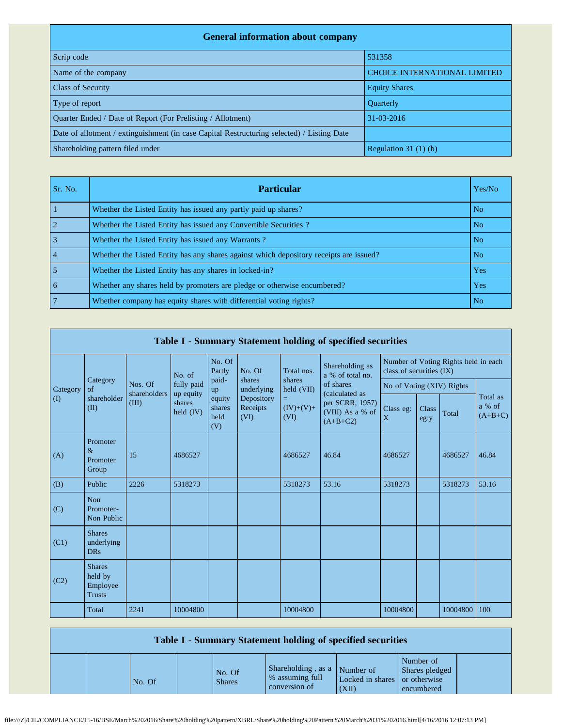| <b>General information about company</b>                                                   |                                     |
|--------------------------------------------------------------------------------------------|-------------------------------------|
| Scrip code                                                                                 | 531358                              |
| Name of the company                                                                        | <b>CHOICE INTERNATIONAL LIMITED</b> |
| <b>Class of Security</b>                                                                   | <b>Equity Shares</b>                |
| Type of report                                                                             | <b>Ouarterly</b>                    |
| Quarter Ended / Date of Report (For Prelisting / Allotment)                                | 31-03-2016                          |
| Date of allotment / extinguishment (in case Capital Restructuring selected) / Listing Date |                                     |
| Shareholding pattern filed under                                                           | Regulation $31(1)(b)$               |

| Sr. No.        | <b>Particular</b>                                                                      | Yes/No         |
|----------------|----------------------------------------------------------------------------------------|----------------|
|                | Whether the Listed Entity has issued any partly paid up shares?                        | No.            |
|                | Whether the Listed Entity has issued any Convertible Securities?                       | N <sub>o</sub> |
| 3              | Whether the Listed Entity has issued any Warrants?                                     | N <sub>o</sub> |
| $\overline{4}$ | Whether the Listed Entity has any shares against which depository receipts are issued? | N <sub>o</sub> |
|                | Whether the Listed Entity has any shares in locked-in?                                 | Yes            |
| 6              | Whether any shares held by promoters are pledge or otherwise encumbered?               | <b>Yes</b>     |
|                | Whether company has equity shares with differential voting rights?                     | No.            |

|          | Table I - Summary Statement holding of specified securities |                         |                         |                                 |                                |                                                   |                                                                                  |                                                                  |               |          |                                 |  |  |  |
|----------|-------------------------------------------------------------|-------------------------|-------------------------|---------------------------------|--------------------------------|---------------------------------------------------|----------------------------------------------------------------------------------|------------------------------------------------------------------|---------------|----------|---------------------------------|--|--|--|
|          |                                                             |                         | No. of                  | No. Of<br>Partly                | No. Of                         | Total nos.                                        | Shareholding as<br>a % of total no.                                              | Number of Voting Rights held in each<br>class of securities (IX) |               |          |                                 |  |  |  |
| Category | Category<br>of                                              | Nos. Of<br>shareholders | fully paid<br>up equity | paid-<br>up                     | shares<br>underlying           | shares<br>held (VII)<br>Ξ.<br>$(IV)+(V)+$<br>(VI) | of shares<br>(calculated as<br>per SCRR, 1957)<br>(VIII) As a % of<br>$(A+B+C2)$ | No of Voting (XIV) Rights                                        |               |          | Total as<br>a % of<br>$(A+B+C)$ |  |  |  |
| (I)      | shareholder<br>(II)                                         | (III)                   | shares<br>held $(IV)$   | equity<br>shares<br>held<br>(V) | Depository<br>Receipts<br>(VI) |                                                   |                                                                                  | Class eg:<br>X                                                   | Class<br>eg:y | Total    |                                 |  |  |  |
| (A)      | Promoter<br>$\&$<br>Promoter<br>Group                       | 15                      | 4686527                 |                                 |                                | 4686527                                           | 46.84                                                                            | 4686527                                                          |               | 4686527  | 46.84                           |  |  |  |
| (B)      | Public                                                      | 2226                    | 5318273                 |                                 |                                | 5318273                                           | 53.16                                                                            | 5318273                                                          |               | 5318273  | 53.16                           |  |  |  |
| (C)      | <b>Non</b><br>Promoter-<br>Non Public                       |                         |                         |                                 |                                |                                                   |                                                                                  |                                                                  |               |          |                                 |  |  |  |
| (C1)     | <b>Shares</b><br>underlying<br><b>DRs</b>                   |                         |                         |                                 |                                |                                                   |                                                                                  |                                                                  |               |          |                                 |  |  |  |
| (C2)     | <b>Shares</b><br>held by<br>Employee<br><b>Trusts</b>       |                         |                         |                                 |                                |                                                   |                                                                                  |                                                                  |               |          |                                 |  |  |  |
|          | Total                                                       | 2241                    | 10004800                |                                 |                                | 10004800                                          |                                                                                  | 10004800                                                         |               | 10004800 | 100                             |  |  |  |

| Table I - Summary Statement holding of specified securities |        |  |                         |                                                                  |                                        |                                           |  |  |  |  |
|-------------------------------------------------------------|--------|--|-------------------------|------------------------------------------------------------------|----------------------------------------|-------------------------------------------|--|--|--|--|
|                                                             | No. Of |  | No. Of<br><b>Shares</b> | Shareholding, as a Number of<br>% assuming full<br>conversion of | Locked in shares or otherwise<br>(XII) | Number of<br>Shares pledged<br>encumbered |  |  |  |  |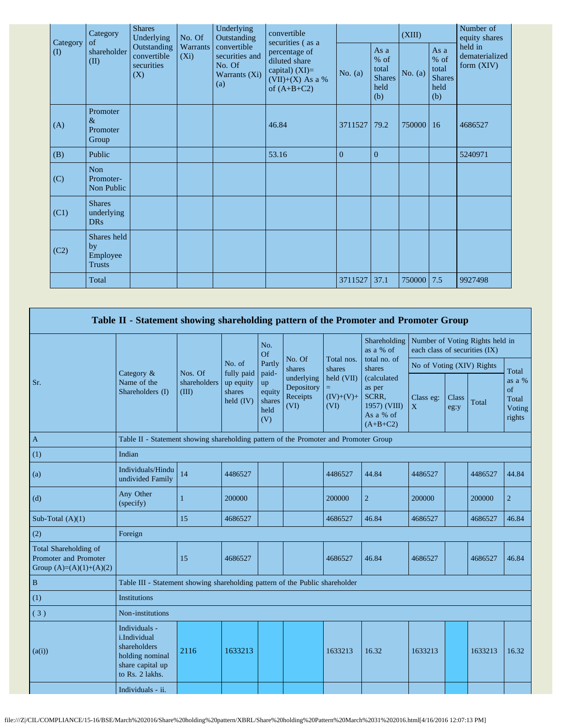| Category | Category<br>of                                 | <b>Shares</b><br>Underlying                     | No. Of              | Underlying<br>Outstanding<br>convertible<br>securities and<br>No. Of<br>Warrants (Xi)<br>(a) | convertible<br>securities (as a                                                           |                |                                                       | (XIII)    |                                                       | Number of<br>equity shares                |  |
|----------|------------------------------------------------|-------------------------------------------------|---------------------|----------------------------------------------------------------------------------------------|-------------------------------------------------------------------------------------------|----------------|-------------------------------------------------------|-----------|-------------------------------------------------------|-------------------------------------------|--|
| $\rm(D)$ | shareholder<br>(II)                            | Outstanding<br>convertible<br>securities<br>(X) | Warrants<br>$(X_i)$ |                                                                                              | percentage of<br>diluted share<br>capital) $(XI)=$<br>$(VII)+(X)$ As a %<br>of $(A+B+C2)$ | No. $(a)$      | As a<br>% of<br>total<br><b>Shares</b><br>held<br>(b) | No. $(a)$ | As a<br>% of<br>total<br><b>Shares</b><br>held<br>(b) | held in<br>dematerialized<br>form $(XIV)$ |  |
| (A)      | Promoter<br>$\&$<br>Promoter<br>Group          |                                                 |                     |                                                                                              | 46.84                                                                                     | 3711527        | 79.2                                                  | 750000    | 16                                                    | 4686527                                   |  |
| (B)      | Public                                         |                                                 |                     |                                                                                              | 53.16                                                                                     | $\overline{0}$ | $\overline{0}$                                        |           |                                                       | 5240971                                   |  |
| (C)      | Non<br>Promoter-<br>Non Public                 |                                                 |                     |                                                                                              |                                                                                           |                |                                                       |           |                                                       |                                           |  |
| (C1)     | <b>Shares</b><br>underlying<br><b>DRs</b>      |                                                 |                     |                                                                                              |                                                                                           |                |                                                       |           |                                                       |                                           |  |
| (C2)     | Shares held<br>by<br>Employee<br><b>Trusts</b> |                                                 |                     |                                                                                              |                                                                                           |                |                                                       |           |                                                       |                                           |  |
|          | Total                                          |                                                 |                     |                                                                                              |                                                                                           | 3711527        | 37.1                                                  | 750000    | 7.5                                                   | 9927498                                   |  |

|                                                                             | Table II - Statement showing shareholding pattern of the Promoter and Promoter Group                    |                                  |                                                  |                                                |                                              |                                         |                                                                           |                |                                                                  |         |                                           |  |
|-----------------------------------------------------------------------------|---------------------------------------------------------------------------------------------------------|----------------------------------|--------------------------------------------------|------------------------------------------------|----------------------------------------------|-----------------------------------------|---------------------------------------------------------------------------|----------------|------------------------------------------------------------------|---------|-------------------------------------------|--|
|                                                                             |                                                                                                         |                                  |                                                  | No.<br>Of                                      |                                              |                                         | Shareholding<br>as a % of                                                 |                | Number of Voting Rights held in<br>each class of securities (IX) |         |                                           |  |
|                                                                             |                                                                                                         |                                  | No. of                                           | No. Of<br>Partly<br>shares                     | Total nos.<br>shares                         | total no. of<br>shares                  | No of Voting (XIV) Rights                                                 |                |                                                                  | Total   |                                           |  |
| Sr.                                                                         | Category &<br>Name of the<br>Shareholders (I)                                                           | Nos. Of<br>shareholders<br>(III) | fully paid<br>up equity<br>shares<br>held $(IV)$ | paid-<br>up<br>equity<br>shares<br>held<br>(V) | underlying<br>Depository<br>Receipts<br>(VI) | held (VII)<br>Ξ.<br>$(IV)+(V)+$<br>(VI) | (calculated<br>as per<br>SCRR,<br>1957) (VIII)<br>As a % of<br>$(A+B+C2)$ | Class eg:<br>X | <b>Class</b><br>eg:y                                             | Total   | as a %<br>of<br>Total<br>Voting<br>rights |  |
| $\mathbf{A}$                                                                | Table II - Statement showing shareholding pattern of the Promoter and Promoter Group                    |                                  |                                                  |                                                |                                              |                                         |                                                                           |                |                                                                  |         |                                           |  |
| (1)                                                                         | Indian                                                                                                  |                                  |                                                  |                                                |                                              |                                         |                                                                           |                |                                                                  |         |                                           |  |
| (a)                                                                         | Individuals/Hindu<br>undivided Family                                                                   | 14                               | 4486527                                          |                                                |                                              | 4486527                                 | 44.84                                                                     | 4486527        |                                                                  | 4486527 | 44.84                                     |  |
| (d)                                                                         | Any Other<br>(specify)                                                                                  | 1                                | 200000                                           |                                                |                                              | 200000                                  | $\overline{2}$                                                            | 200000         |                                                                  | 200000  | $\overline{2}$                            |  |
| Sub-Total $(A)(1)$                                                          |                                                                                                         | 15                               | 4686527                                          |                                                |                                              | 4686527                                 | 46.84                                                                     | 4686527        |                                                                  | 4686527 | 46.84                                     |  |
| (2)                                                                         | Foreign                                                                                                 |                                  |                                                  |                                                |                                              |                                         |                                                                           |                |                                                                  |         |                                           |  |
| Total Shareholding of<br>Promoter and Promoter<br>Group $(A)=(A)(1)+(A)(2)$ |                                                                                                         | 15                               | 4686527                                          |                                                |                                              | 4686527                                 | 46.84                                                                     | 4686527        |                                                                  | 4686527 | 46.84                                     |  |
| $\, {\bf B}$                                                                | Table III - Statement showing shareholding pattern of the Public shareholder                            |                                  |                                                  |                                                |                                              |                                         |                                                                           |                |                                                                  |         |                                           |  |
| (1)                                                                         | Institutions                                                                                            |                                  |                                                  |                                                |                                              |                                         |                                                                           |                |                                                                  |         |                                           |  |
| (3)                                                                         | Non-institutions                                                                                        |                                  |                                                  |                                                |                                              |                                         |                                                                           |                |                                                                  |         |                                           |  |
| (a(i))                                                                      | Individuals -<br>i.Individual<br>shareholders<br>holding nominal<br>share capital up<br>to Rs. 2 lakhs. | 2116                             | 1633213                                          |                                                |                                              | 1633213                                 | 16.32                                                                     | 1633213        |                                                                  | 1633213 | 16.32                                     |  |
|                                                                             | Individuals - ii.                                                                                       |                                  |                                                  |                                                |                                              |                                         |                                                                           |                |                                                                  |         |                                           |  |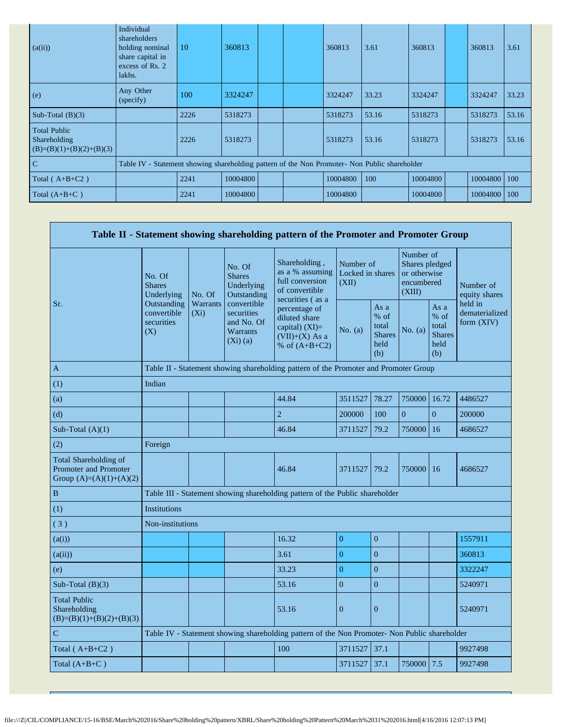| (a(ii))                                                           | Individual<br>shareholders<br>holding nominal<br>share capital in<br>excess of Rs. 2<br>lakhs. | 10   | 360813   |  | 360813   | 3.61  | 360813   | 360813   | 3.61  |
|-------------------------------------------------------------------|------------------------------------------------------------------------------------------------|------|----------|--|----------|-------|----------|----------|-------|
| (e)                                                               | Any Other<br>(specify)                                                                         | 100  | 3324247  |  | 3324247  | 33.23 | 3324247  | 3324247  | 33.23 |
| Sub-Total $(B)(3)$                                                |                                                                                                | 2226 | 5318273  |  | 5318273  | 53.16 | 5318273  | 5318273  | 53.16 |
| <b>Total Public</b><br>Shareholding<br>$(B)=(B)(1)+(B)(2)+(B)(3)$ |                                                                                                | 2226 | 5318273  |  | 5318273  | 53.16 | 5318273  | 5318273  | 53.16 |
| $\mathbf C$                                                       | Table IV - Statement showing shareholding pattern of the Non Promoter- Non Public shareholder  |      |          |  |          |       |          |          |       |
| Total ( $A+B+C2$ )                                                |                                                                                                | 2241 | 10004800 |  | 10004800 | 100   | 10004800 | 10004800 | 100   |
| Total $(A+B+C)$                                                   |                                                                                                | 2241 | 10004800 |  | 10004800 |       | 10004800 | 10004800 | 100   |

|                                                                             |                                                 |                                                                                      |                                                                          | Table II - Statement showing shareholding pattern of the Promoter and Promoter Group                                                                                                   |                                        |                                                         |                                                                     |                                                         |                                           |
|-----------------------------------------------------------------------------|-------------------------------------------------|--------------------------------------------------------------------------------------|--------------------------------------------------------------------------|----------------------------------------------------------------------------------------------------------------------------------------------------------------------------------------|----------------------------------------|---------------------------------------------------------|---------------------------------------------------------------------|---------------------------------------------------------|-------------------------------------------|
|                                                                             | No. Of<br><b>Shares</b><br>Underlying           | No. Of                                                                               | No. Of<br><b>Shares</b><br>Underlying<br>Outstanding                     | Shareholding,<br>as a % assuming<br>full conversion<br>of convertible<br>securities (as a<br>percentage of<br>diluted share<br>capital) $(XI)=$<br>$(VII)+(X)$ As a<br>% of $(A+B+C2)$ | Number of<br>Locked in shares<br>(XII) |                                                         | Number of<br>Shares pledged<br>or otherwise<br>encumbered<br>(XIII) |                                                         | Number of<br>equity shares                |
| Sr.                                                                         | Outstanding<br>convertible<br>securities<br>(X) | Warrants<br>$(X_i)$                                                                  | convertible<br>securities<br>and No. Of<br><b>Warrants</b><br>$(Xi)$ (a) |                                                                                                                                                                                        | No. $(a)$                              | As a<br>$%$ of<br>total<br><b>Shares</b><br>held<br>(b) | No. (a)                                                             | As a<br>$%$ of<br>total<br><b>Shares</b><br>held<br>(b) | held in<br>dematerialized<br>form $(XIV)$ |
| $\mathbf{A}$                                                                |                                                 | Table II - Statement showing shareholding pattern of the Promoter and Promoter Group |                                                                          |                                                                                                                                                                                        |                                        |                                                         |                                                                     |                                                         |                                           |
| (1)                                                                         | Indian                                          |                                                                                      |                                                                          |                                                                                                                                                                                        |                                        |                                                         |                                                                     |                                                         |                                           |
| (a)                                                                         |                                                 |                                                                                      |                                                                          | 44.84                                                                                                                                                                                  | 3511527                                | 78.27                                                   | 750000                                                              | 16.72                                                   | 4486527                                   |
| (d)                                                                         |                                                 |                                                                                      |                                                                          | $\overline{2}$                                                                                                                                                                         | 200000                                 | 100                                                     | $\Omega$                                                            | $\Omega$                                                | 200000                                    |
| Sub-Total $(A)(1)$                                                          |                                                 |                                                                                      |                                                                          | 46.84                                                                                                                                                                                  | 3711527                                | 79.2                                                    | 750000                                                              | 16                                                      | 4686527                                   |
| (2)                                                                         | Foreign                                         |                                                                                      |                                                                          |                                                                                                                                                                                        |                                        |                                                         |                                                                     |                                                         |                                           |
| Total Shareholding of<br>Promoter and Promoter<br>Group $(A)=(A)(1)+(A)(2)$ |                                                 |                                                                                      |                                                                          | 46.84                                                                                                                                                                                  | 3711527                                | 79.2                                                    | 750000                                                              | 16                                                      | 4686527                                   |
| $\, {\bf B}$                                                                |                                                 |                                                                                      |                                                                          | Table III - Statement showing shareholding pattern of the Public shareholder                                                                                                           |                                        |                                                         |                                                                     |                                                         |                                           |
| (1)                                                                         | <b>Institutions</b>                             |                                                                                      |                                                                          |                                                                                                                                                                                        |                                        |                                                         |                                                                     |                                                         |                                           |
| (3)                                                                         | Non-institutions                                |                                                                                      |                                                                          |                                                                                                                                                                                        |                                        |                                                         |                                                                     |                                                         |                                           |
| (a(i))                                                                      |                                                 |                                                                                      |                                                                          | 16.32                                                                                                                                                                                  | $\overline{0}$                         | $\overline{0}$                                          |                                                                     |                                                         | 1557911                                   |
| (a(ii))                                                                     |                                                 |                                                                                      |                                                                          | 3.61                                                                                                                                                                                   | $\overline{0}$                         | $\overline{0}$                                          |                                                                     |                                                         | 360813                                    |
| (e)                                                                         |                                                 |                                                                                      |                                                                          | 33.23                                                                                                                                                                                  | $\overline{0}$                         | $\overline{0}$                                          |                                                                     |                                                         | 3322247                                   |
| Sub-Total $(B)(3)$                                                          |                                                 |                                                                                      |                                                                          | 53.16                                                                                                                                                                                  | $\overline{0}$                         | $\overline{0}$                                          |                                                                     |                                                         | 5240971                                   |
| <b>Total Public</b><br>Shareholding<br>$(B)=(B)(1)+(B)(2)+(B)(3)$           |                                                 |                                                                                      |                                                                          | 53.16                                                                                                                                                                                  | $\overline{0}$                         | $\overline{0}$                                          |                                                                     |                                                         | 5240971                                   |
| $\mathbf C$                                                                 |                                                 |                                                                                      |                                                                          | Table IV - Statement showing shareholding pattern of the Non Promoter- Non Public shareholder                                                                                          |                                        |                                                         |                                                                     |                                                         |                                           |
| Total $(A+B+C2)$                                                            |                                                 |                                                                                      |                                                                          | 100                                                                                                                                                                                    | 3711527                                | 37.1                                                    |                                                                     |                                                         | 9927498                                   |
| Total $(A+B+C)$                                                             |                                                 |                                                                                      |                                                                          |                                                                                                                                                                                        | 3711527                                | 37.1                                                    | 750000                                                              | 7.5                                                     | 9927498                                   |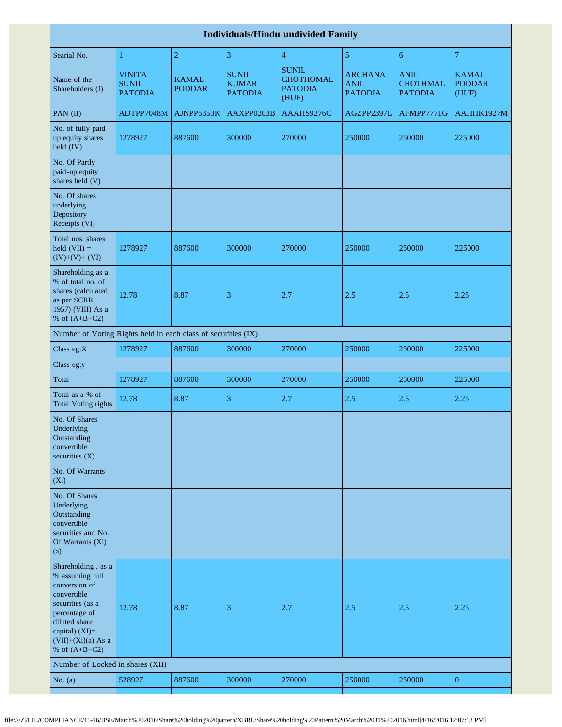|                                                                                                                                                                                          | <b>Individuals/Hindu undivided Family</b>       |                               |                                                |                                                      |                                                 |                                                  |                                        |  |  |  |  |  |  |  |
|------------------------------------------------------------------------------------------------------------------------------------------------------------------------------------------|-------------------------------------------------|-------------------------------|------------------------------------------------|------------------------------------------------------|-------------------------------------------------|--------------------------------------------------|----------------------------------------|--|--|--|--|--|--|--|
| Searial No.                                                                                                                                                                              | 1                                               | $\overline{2}$                | 3                                              | $\overline{4}$                                       | 5                                               | 6                                                | $\overline{7}$                         |  |  |  |  |  |  |  |
| Name of the<br>Shareholders (I)                                                                                                                                                          | <b>VINITA</b><br><b>SUNIL</b><br><b>PATODIA</b> | <b>KAMAL</b><br><b>PODDAR</b> | <b>SUNIL</b><br><b>KUMAR</b><br><b>PATODIA</b> | <b>SUNIL</b><br>CHOTHOMAL<br><b>PATODIA</b><br>(HUF) | <b>ARCHANA</b><br><b>ANIL</b><br><b>PATODIA</b> | <b>ANIL</b><br><b>CHOTHMAL</b><br><b>PATODIA</b> | <b>KAMAL</b><br><b>PODDAR</b><br>(HUF) |  |  |  |  |  |  |  |
| PAN (II)                                                                                                                                                                                 | ADTPP7048M                                      | AJNPP5353K                    | AAXPP0203B                                     | AAAHS9276C                                           | AGZPP2397L                                      | AFMPP7771G                                       | AAHHK1927M                             |  |  |  |  |  |  |  |
| No. of fully paid<br>up equity shares<br>held (IV)                                                                                                                                       | 1278927                                         | 887600                        | 300000                                         | 270000                                               | 250000                                          | 250000                                           | 225000                                 |  |  |  |  |  |  |  |
| No. Of Partly<br>paid-up equity<br>shares held (V)                                                                                                                                       |                                                 |                               |                                                |                                                      |                                                 |                                                  |                                        |  |  |  |  |  |  |  |
| No. Of shares<br>underlying<br>Depository<br>Receipts (VI)                                                                                                                               |                                                 |                               |                                                |                                                      |                                                 |                                                  |                                        |  |  |  |  |  |  |  |
| Total nos. shares<br>held $(VII) =$<br>$(IV)+(V)+(VI)$                                                                                                                                   | 1278927                                         | 887600                        | 300000                                         | 270000                                               | 250000                                          | 250000                                           | 225000                                 |  |  |  |  |  |  |  |
| Shareholding as a<br>% of total no. of<br>shares (calculated<br>as per SCRR,<br>1957) (VIII) As a<br>% of $(A+B+C2)$                                                                     | 12.78                                           | 8.87                          | 3                                              | 2.7                                                  | 2.5                                             | 2.5                                              | 2.25                                   |  |  |  |  |  |  |  |
| Number of Voting Rights held in each class of securities (IX)                                                                                                                            |                                                 |                               |                                                |                                                      |                                                 |                                                  |                                        |  |  |  |  |  |  |  |
| Class eg:X                                                                                                                                                                               | 1278927                                         | 887600                        | 300000                                         | 270000                                               | 250000                                          | 250000                                           | 225000                                 |  |  |  |  |  |  |  |
| Class eg:y                                                                                                                                                                               |                                                 |                               |                                                |                                                      |                                                 |                                                  |                                        |  |  |  |  |  |  |  |
| Total                                                                                                                                                                                    | 1278927                                         | 887600                        | 300000                                         | 270000                                               | 250000                                          | 250000                                           | 225000                                 |  |  |  |  |  |  |  |
| Total as a % of<br><b>Total Voting rights</b>                                                                                                                                            | 12.78                                           | 8.87                          | 3                                              | 2.7                                                  | 2.5                                             | 2.5                                              | 2.25                                   |  |  |  |  |  |  |  |
| No. Of Shares<br>Underlying<br>Outstanding<br>convertible<br>securities $(X)$                                                                                                            |                                                 |                               |                                                |                                                      |                                                 |                                                  |                                        |  |  |  |  |  |  |  |
| No. Of Warrants<br>$(X_i)$                                                                                                                                                               |                                                 |                               |                                                |                                                      |                                                 |                                                  |                                        |  |  |  |  |  |  |  |
| No. Of Shares<br>Underlying<br>Outstanding<br>convertible<br>securities and No.<br>Of Warrants (Xi)<br>(a)                                                                               |                                                 |                               |                                                |                                                      |                                                 |                                                  |                                        |  |  |  |  |  |  |  |
| Shareholding, as a<br>% assuming full<br>conversion of<br>convertible<br>securities (as a<br>percentage of<br>diluted share<br>capital) (XI)=<br>$(VII)+(Xi)(a)$ As a<br>% of $(A+B+C2)$ | 12.78                                           | 8.87                          | 3                                              | 2.7                                                  | 2.5                                             | 2.5                                              | 2.25                                   |  |  |  |  |  |  |  |
| Number of Locked in shares (XII)                                                                                                                                                         |                                                 |                               |                                                |                                                      |                                                 |                                                  |                                        |  |  |  |  |  |  |  |
| No. $(a)$                                                                                                                                                                                | 528927                                          | 887600                        | 300000                                         | 270000                                               | 250000                                          | 250000                                           | $\boldsymbol{0}$                       |  |  |  |  |  |  |  |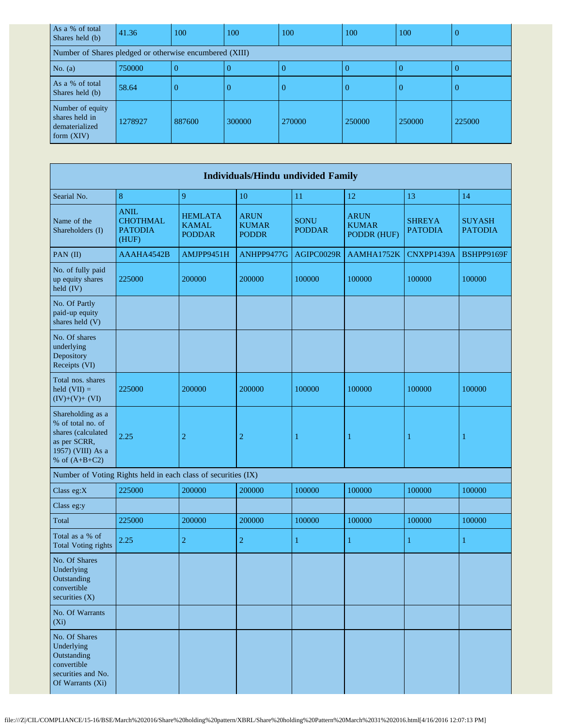| As a % of total<br>Shares held (b)                                   | 41.36   | 100    | 100    | 100    | 100      | 100    |        |
|----------------------------------------------------------------------|---------|--------|--------|--------|----------|--------|--------|
| Number of Shares pledged or otherwise encumbered (XIII)              |         |        |        |        |          |        |        |
| No. (a)                                                              | 750000  |        |        |        | 0        |        |        |
| As a % of total<br>Shares held (b)                                   | 58.64   |        | O      |        | $\left($ |        |        |
| Number of equity<br>shares held in<br>dematerialized<br>form $(XIV)$ | 1278927 | 887600 | 300000 | 270000 | 250000   | 250000 | 225000 |

|                                                                                                                      | <b>Individuals/Hindu undivided Family</b>                     |                                                 |                                             |                              |                                            |                                 |                                 |  |  |  |  |  |  |
|----------------------------------------------------------------------------------------------------------------------|---------------------------------------------------------------|-------------------------------------------------|---------------------------------------------|------------------------------|--------------------------------------------|---------------------------------|---------------------------------|--|--|--|--|--|--|
| Searial No.                                                                                                          | 8                                                             | 9                                               | 10                                          | 11                           | 12                                         | 13                              | 14                              |  |  |  |  |  |  |
| Name of the<br>Shareholders (I)                                                                                      | <b>ANIL</b><br><b>CHOTHMAL</b><br><b>PATODIA</b><br>(HUF)     | <b>HEMLATA</b><br><b>KAMAL</b><br><b>PODDAR</b> | <b>ARUN</b><br><b>KUMAR</b><br><b>PODDR</b> | <b>SONU</b><br><b>PODDAR</b> | <b>ARUN</b><br><b>KUMAR</b><br>PODDR (HUF) | <b>SHREYA</b><br><b>PATODIA</b> | <b>SUYASH</b><br><b>PATODIA</b> |  |  |  |  |  |  |
| PAN (II)                                                                                                             | AAAHA4542B                                                    | AMJPP9451H                                      | ANHPP9477G                                  | AGIPC0029R                   | AAMHA1752K                                 | CNXPP1439A                      | BSHPP9169F                      |  |  |  |  |  |  |
| No. of fully paid<br>up equity shares<br>held (IV)                                                                   | 225000                                                        | 200000                                          | 200000                                      | 100000                       | 100000                                     | 100000                          | 100000                          |  |  |  |  |  |  |
| No. Of Partly<br>paid-up equity<br>shares held (V)                                                                   |                                                               |                                                 |                                             |                              |                                            |                                 |                                 |  |  |  |  |  |  |
| No. Of shares<br>underlying<br>Depository<br>Receipts (VI)                                                           |                                                               |                                                 |                                             |                              |                                            |                                 |                                 |  |  |  |  |  |  |
| Total nos. shares<br>held $(VII) =$<br>$(IV)+(V)+(VI)$                                                               | 225000                                                        | 200000                                          | 200000                                      | 100000                       | 100000                                     | 100000                          | 100000                          |  |  |  |  |  |  |
| Shareholding as a<br>% of total no. of<br>shares (calculated<br>as per SCRR,<br>1957) (VIII) As a<br>% of $(A+B+C2)$ | 2.25                                                          | $\overline{2}$                                  | $\overline{c}$                              | 1                            | 1                                          | 1                               | 1                               |  |  |  |  |  |  |
|                                                                                                                      | Number of Voting Rights held in each class of securities (IX) |                                                 |                                             |                              |                                            |                                 |                                 |  |  |  |  |  |  |
| Class eg:X                                                                                                           | 225000                                                        | 200000                                          | 200000                                      | 100000                       | 100000                                     | 100000                          | 100000                          |  |  |  |  |  |  |
| Class eg:y                                                                                                           |                                                               |                                                 |                                             |                              |                                            |                                 |                                 |  |  |  |  |  |  |
| Total                                                                                                                | 225000                                                        | 200000                                          | 200000                                      | 100000                       | 100000                                     | 100000                          | 100000                          |  |  |  |  |  |  |
| Total as a % of<br><b>Total Voting rights</b>                                                                        | 2.25                                                          | $\overline{2}$                                  | 2                                           | 1                            | 1                                          | 1                               | 1                               |  |  |  |  |  |  |
| No. Of Shares<br>Underlying<br>Outstanding<br>convertible<br>securities (X)                                          |                                                               |                                                 |                                             |                              |                                            |                                 |                                 |  |  |  |  |  |  |
| No. Of Warrants<br>$(X_i)$                                                                                           |                                                               |                                                 |                                             |                              |                                            |                                 |                                 |  |  |  |  |  |  |
| No. Of Shares<br>Underlying<br>Outstanding<br>convertible<br>securities and No.<br>Of Warrants (Xi)                  |                                                               |                                                 |                                             |                              |                                            |                                 |                                 |  |  |  |  |  |  |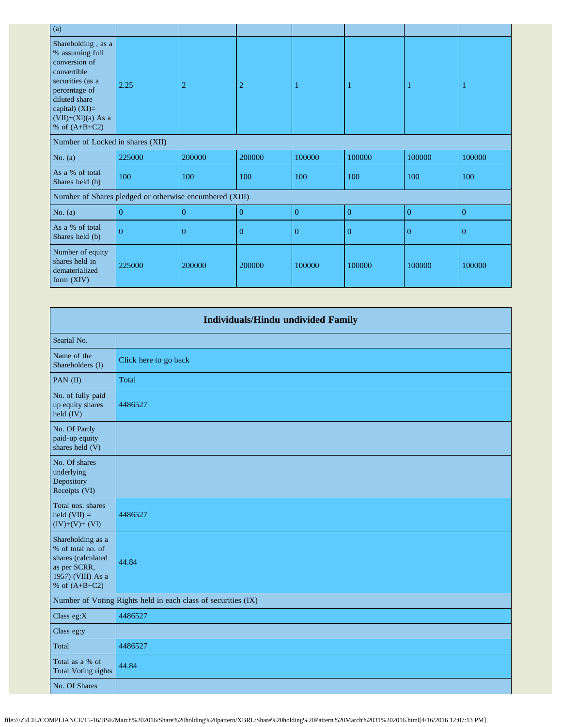| (a)                                                                                                                                                                                        |                |                |                |                |                |                |                |
|--------------------------------------------------------------------------------------------------------------------------------------------------------------------------------------------|----------------|----------------|----------------|----------------|----------------|----------------|----------------|
| Shareholding, as a<br>% assuming full<br>conversion of<br>convertible<br>securities (as a<br>percentage of<br>diluted share<br>capital) $(XI)=$<br>$(VII)+(Xi)(a)$ As a<br>% of $(A+B+C2)$ | 2.25           | 2              | $\overline{2}$ |                |                |                |                |
| Number of Locked in shares (XII)                                                                                                                                                           |                |                |                |                |                |                |                |
| No. $(a)$                                                                                                                                                                                  | 225000         | 200000         | 200000         | 100000         | 100000         | 100000         | 100000         |
| As a % of total<br>Shares held (b)                                                                                                                                                         | 100            | 100            | 100            | 100            | 100            | 100            | 100            |
| Number of Shares pledged or otherwise encumbered (XIII)                                                                                                                                    |                |                |                |                |                |                |                |
| No. $(a)$                                                                                                                                                                                  | $\overline{0}$ | $\overline{0}$ | $\overline{0}$ | $\overline{0}$ | $\overline{0}$ | $\mathbf{0}$   | $\overline{0}$ |
| As a % of total<br>Shares held (b)                                                                                                                                                         | $\theta$       | $\Omega$       | $\overline{0}$ | $\theta$       | $\Omega$       | $\overline{0}$ | $\Omega$       |
| Number of equity<br>shares held in<br>dematerialized<br>form $(XIV)$                                                                                                                       | 225000         | 200000         | 200000         | 100000         | 100000         | 100000         | 100000         |

| <b>Individuals/Hindu undivided Family</b>                                                                            |                                                               |  |  |  |
|----------------------------------------------------------------------------------------------------------------------|---------------------------------------------------------------|--|--|--|
| Searial No.                                                                                                          |                                                               |  |  |  |
| Name of the<br>Shareholders (I)                                                                                      | Click here to go back                                         |  |  |  |
| PAN (II)                                                                                                             | Total                                                         |  |  |  |
| No. of fully paid<br>up equity shares<br>held (IV)                                                                   | 4486527                                                       |  |  |  |
| No. Of Partly<br>paid-up equity<br>shares held (V)                                                                   |                                                               |  |  |  |
| No. Of shares<br>underlying<br>Depository<br>Receipts (VI)                                                           |                                                               |  |  |  |
| Total nos. shares<br>held $(VII) =$<br>$(IV)+(V)+(VI)$                                                               | 4486527                                                       |  |  |  |
| Shareholding as a<br>% of total no. of<br>shares (calculated<br>as per SCRR,<br>1957) (VIII) As a<br>% of $(A+B+C2)$ | 44.84                                                         |  |  |  |
|                                                                                                                      | Number of Voting Rights held in each class of securities (IX) |  |  |  |
| Class eg:X                                                                                                           | 4486527                                                       |  |  |  |
| Class eg:y                                                                                                           |                                                               |  |  |  |
| Total                                                                                                                | 4486527                                                       |  |  |  |
| Total as a % of<br><b>Total Voting rights</b>                                                                        | 44.84                                                         |  |  |  |
| No. Of Shares                                                                                                        |                                                               |  |  |  |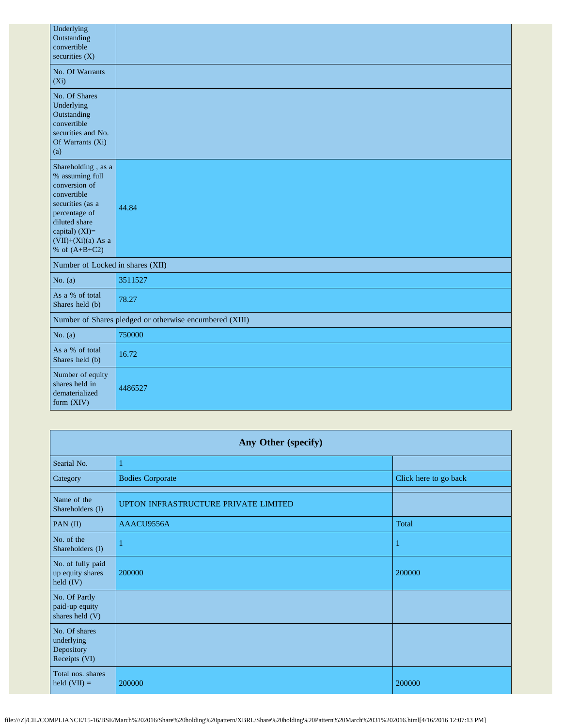| Underlying<br>Outstanding<br>convertible<br>securities $(X)$                                                                                                                               |                                                         |
|--------------------------------------------------------------------------------------------------------------------------------------------------------------------------------------------|---------------------------------------------------------|
| No. Of Warrants<br>$(X_i)$                                                                                                                                                                 |                                                         |
| No. Of Shares<br>Underlying<br>Outstanding<br>convertible<br>securities and No.<br>Of Warrants (Xi)<br>(a)                                                                                 |                                                         |
| Shareholding, as a<br>% assuming full<br>conversion of<br>convertible<br>securities (as a<br>percentage of<br>diluted share<br>capital) $(XI)=$<br>$(VII)+(Xi)(a)$ As a<br>% of $(A+B+C2)$ | 44.84                                                   |
| Number of Locked in shares (XII)                                                                                                                                                           |                                                         |
| No. $(a)$                                                                                                                                                                                  | 3511527                                                 |
| As a % of total<br>Shares held (b)                                                                                                                                                         | 78.27                                                   |
|                                                                                                                                                                                            | Number of Shares pledged or otherwise encumbered (XIII) |
| No. $(a)$                                                                                                                                                                                  | 750000                                                  |
| As a % of total<br>Shares held (b)                                                                                                                                                         | 16.72                                                   |
| Number of equity<br>shares held in<br>dematerialized<br>form (XIV)                                                                                                                         | 4486527                                                 |

| Any Other (specify)                                        |                                      |                       |  |  |  |  |
|------------------------------------------------------------|--------------------------------------|-----------------------|--|--|--|--|
| Searial No.                                                | -1                                   |                       |  |  |  |  |
| Category                                                   | <b>Bodies Corporate</b>              | Click here to go back |  |  |  |  |
| Name of the<br>Shareholders (I)                            | UPTON INFRASTRUCTURE PRIVATE LIMITED |                       |  |  |  |  |
| PAN (II)                                                   | AAACU9556A                           | Total                 |  |  |  |  |
| No. of the<br>Shareholders (I)                             |                                      |                       |  |  |  |  |
| No. of fully paid<br>up equity shares<br>held (IV)         | 200000                               | 200000                |  |  |  |  |
| No. Of Partly<br>paid-up equity<br>shares held (V)         |                                      |                       |  |  |  |  |
| No. Of shares<br>underlying<br>Depository<br>Receipts (VI) |                                      |                       |  |  |  |  |
| Total nos. shares<br>held $(VII) =$                        | 200000                               | 200000                |  |  |  |  |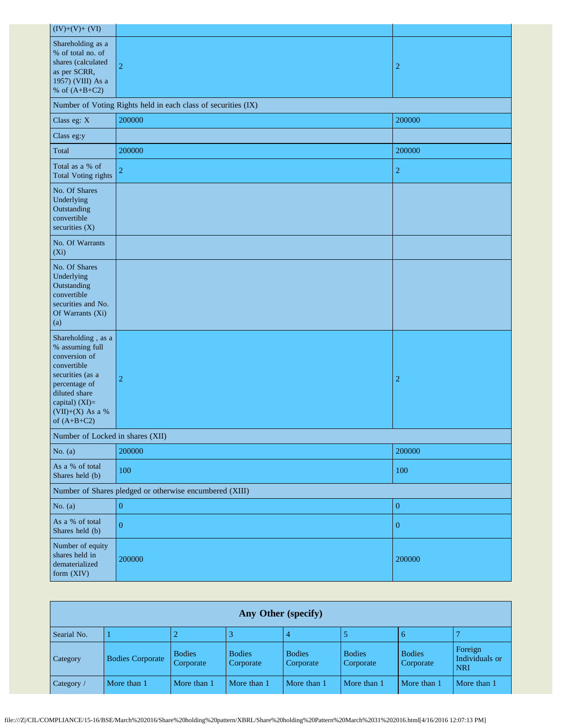| $(IV)+(V)+(VI)$                                                                                                                                                                    |                                                               |                  |  |  |  |  |
|------------------------------------------------------------------------------------------------------------------------------------------------------------------------------------|---------------------------------------------------------------|------------------|--|--|--|--|
| Shareholding as a<br>% of total no. of<br>shares (calculated<br>as per SCRR,<br>1957) (VIII) As a<br>% of $(A+B+C2)$                                                               | $\overline{2}$                                                | $\overline{c}$   |  |  |  |  |
|                                                                                                                                                                                    | Number of Voting Rights held in each class of securities (IX) |                  |  |  |  |  |
| Class eg: X                                                                                                                                                                        | 200000                                                        | 200000           |  |  |  |  |
| Class eg:y                                                                                                                                                                         |                                                               |                  |  |  |  |  |
| Total                                                                                                                                                                              | 200000                                                        | 200000           |  |  |  |  |
| Total as a % of<br>Total Voting rights                                                                                                                                             | $\overline{2}$                                                | $\overline{c}$   |  |  |  |  |
| No. Of Shares<br>Underlying<br>Outstanding<br>convertible<br>securities (X)                                                                                                        |                                                               |                  |  |  |  |  |
| No. Of Warrants<br>$(X_i)$                                                                                                                                                         |                                                               |                  |  |  |  |  |
| No. Of Shares<br>Underlying<br>Outstanding<br>convertible<br>securities and No.<br>Of Warrants (Xi)<br>(a)                                                                         |                                                               |                  |  |  |  |  |
| Shareholding, as a<br>% assuming full<br>conversion of<br>convertible<br>securities (as a<br>percentage of<br>diluted share<br>capital) (XI)=<br>(VII)+(X) As a %<br>of $(A+B+C2)$ | $\overline{2}$                                                | $\overline{2}$   |  |  |  |  |
|                                                                                                                                                                                    | Number of Locked in shares (XII)                              |                  |  |  |  |  |
| No. $(a)$                                                                                                                                                                          | 200000                                                        | 200000           |  |  |  |  |
| As a % of total<br>Shares held (b)                                                                                                                                                 | 100                                                           | 100              |  |  |  |  |
| Number of Shares pledged or otherwise encumbered (XIII)                                                                                                                            |                                                               |                  |  |  |  |  |
| No. $(a)$                                                                                                                                                                          | $\overline{0}$                                                | $\boldsymbol{0}$ |  |  |  |  |
| As a % of total<br>Shares held (b)                                                                                                                                                 | $\overline{0}$                                                | $\boldsymbol{0}$ |  |  |  |  |
| Number of equity<br>shares held in<br>dematerialized<br>form (XIV)                                                                                                                 | 200000                                                        | 200000           |  |  |  |  |

| Any Other (specify) |                         |                            |                            |                            |                            |                            |                                         |
|---------------------|-------------------------|----------------------------|----------------------------|----------------------------|----------------------------|----------------------------|-----------------------------------------|
| Searial No.         |                         |                            |                            |                            |                            | $\mathfrak b$              |                                         |
| Category            | <b>Bodies Corporate</b> | <b>Bodies</b><br>Corporate | <b>Bodies</b><br>Corporate | <b>Bodies</b><br>Corporate | <b>Bodies</b><br>Corporate | <b>Bodies</b><br>Corporate | Foreign<br>Individuals or<br><b>NRI</b> |
| $\vert$ Category /  | More than 1             | More than 1                | More than 1                | More than 1                | More than 1                | More than 1                | More than 1                             |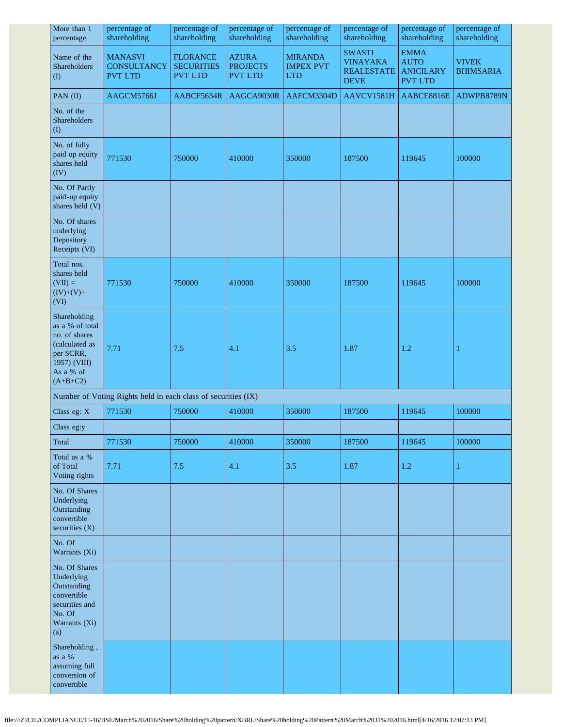| More than 1<br>percentage                                                                                                  | percentage of<br>shareholding                                 | percentage of<br>shareholding                          | percentage of<br>shareholding                     | percentage of<br>shareholding                    | percentage of<br>shareholding                                        | percentage of<br>shareholding                                    | percentage of<br>shareholding    |
|----------------------------------------------------------------------------------------------------------------------------|---------------------------------------------------------------|--------------------------------------------------------|---------------------------------------------------|--------------------------------------------------|----------------------------------------------------------------------|------------------------------------------------------------------|----------------------------------|
| Name of the<br>Shareholders<br>$\left( \mathrm{I}\right)$                                                                  | <b>MANASVI</b><br><b>CONSULTANCY</b><br><b>PVT LTD</b>        | <b>FLORANCE</b><br><b>SECURITIES</b><br><b>PVT LTD</b> | <b>AZURA</b><br><b>PROJECTS</b><br><b>PVT LTD</b> | <b>MIRANDA</b><br><b>IMPEX PVT</b><br><b>LTD</b> | <b>SWASTI</b><br><b>VINAYAKA</b><br><b>REALESTATE</b><br><b>DEVE</b> | <b>EMMA</b><br><b>AUTO</b><br><b>ANICILARY</b><br><b>PVT LTD</b> | <b>VIVEK</b><br><b>BHIMSARIA</b> |
| PAN (II)                                                                                                                   | AAGCM5766J                                                    | AABCF5634R                                             | AAGCA9030R                                        | AAFCM3304D                                       | AAVCV1581H                                                           | AABCE8816E                                                       | ADWPB8789N                       |
| No. of the<br><b>Shareholders</b><br>$($ $\Gamma$                                                                          |                                                               |                                                        |                                                   |                                                  |                                                                      |                                                                  |                                  |
| No. of fully<br>paid up equity<br>shares held<br>(IV)                                                                      | 771530                                                        | 750000                                                 | 410000                                            | 350000                                           | 187500                                                               | 119645                                                           | 100000                           |
| No. Of Partly<br>paid-up equity<br>shares held (V)                                                                         |                                                               |                                                        |                                                   |                                                  |                                                                      |                                                                  |                                  |
| No. Of shares<br>underlying<br>Depository<br>Receipts (VI)                                                                 |                                                               |                                                        |                                                   |                                                  |                                                                      |                                                                  |                                  |
| Total nos.<br>shares held<br>$(VII) =$<br>$(IV)+(V)+$<br>(VI)                                                              | 771530                                                        | 750000                                                 | 410000                                            | 350000                                           | 187500                                                               | 119645                                                           | 100000                           |
| Shareholding<br>as a % of total<br>no. of shares<br>(calculated as<br>per SCRR,<br>1957) (VIII)<br>As a % of<br>$(A+B+C2)$ | 7.71                                                          | 7.5                                                    | 4.1                                               | 3.5                                              | 1.87                                                                 | 1.2                                                              | 1                                |
|                                                                                                                            | Number of Voting Rights held in each class of securities (IX) |                                                        |                                                   |                                                  |                                                                      |                                                                  |                                  |
| Class eg: X                                                                                                                | 771530                                                        | 750000                                                 | 410000                                            | 350000                                           | 187500                                                               | 119645                                                           | 100000                           |
| Class eg:y                                                                                                                 |                                                               |                                                        |                                                   |                                                  |                                                                      |                                                                  |                                  |
| Total                                                                                                                      | 771530                                                        | 750000                                                 | 410000                                            | 350000                                           | 187500                                                               | 119645                                                           | 100000                           |
| Total as a %<br>of Total<br>Voting rights                                                                                  | 7.71                                                          | 7.5                                                    | 4.1                                               | 3.5                                              | 1.87                                                                 | 1.2                                                              | $\mathbf{1}$                     |
| No. Of Shares<br>Underlying<br>Outstanding<br>convertible<br>securities $(X)$                                              |                                                               |                                                        |                                                   |                                                  |                                                                      |                                                                  |                                  |
| No. Of<br>Warrants (Xi)                                                                                                    |                                                               |                                                        |                                                   |                                                  |                                                                      |                                                                  |                                  |
| No. Of Shares<br>Underlying<br>Outstanding<br>convertible<br>securities and<br>No. Of<br>Warrants (Xi)<br>(a)              |                                                               |                                                        |                                                   |                                                  |                                                                      |                                                                  |                                  |
| Shareholding,<br>as a %<br>assuming full<br>conversion of<br>convertible                                                   |                                                               |                                                        |                                                   |                                                  |                                                                      |                                                                  |                                  |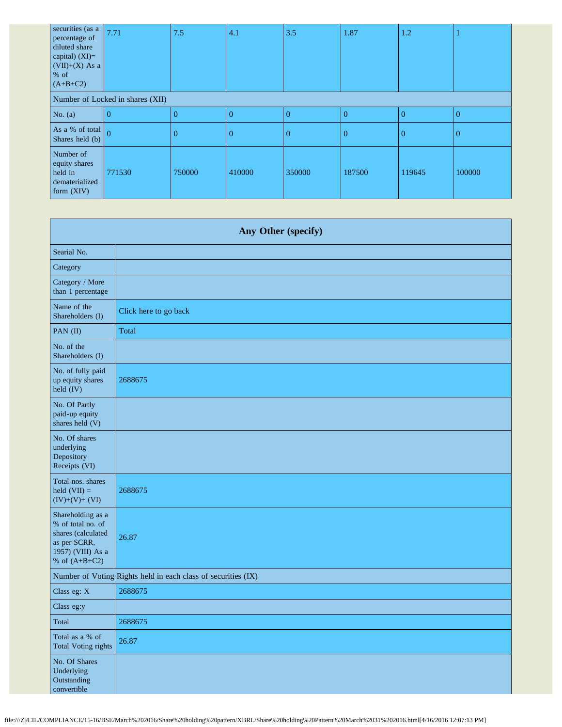| securities (as a<br>percentage of<br>diluted share<br>capital) $(XI)=$<br>$(VII)+(X)$ As a<br>$\%$ of<br>$(A+B+C2)$ | 7.71                             | 7.5            | 4.1            | 3.5            | 1.87     | 1.2      |                |
|---------------------------------------------------------------------------------------------------------------------|----------------------------------|----------------|----------------|----------------|----------|----------|----------------|
|                                                                                                                     | Number of Locked in shares (XII) |                |                |                |          |          |                |
| No. $(a)$                                                                                                           | $\overline{0}$                   | $\overline{0}$ | $\overline{0}$ | $\overline{0}$ | $\Omega$ | $\Omega$ | $\overline{0}$ |
| As a % of total $\boxed{0}$<br>Shares held (b)                                                                      |                                  | $\theta$       | $\overline{0}$ | $\Omega$       | $\Omega$ | 0        | $\Omega$       |
| Number of<br>equity shares<br>held in<br>dematerialized<br>form $(XIV)$                                             | 771530                           | 750000         | 410000         | 350000         | 187500   | 119645   | 100000         |

| Any Other (specify)                                                                                                  |                                                               |  |  |  |
|----------------------------------------------------------------------------------------------------------------------|---------------------------------------------------------------|--|--|--|
| Searial No.                                                                                                          |                                                               |  |  |  |
| Category                                                                                                             |                                                               |  |  |  |
| Category / More<br>than 1 percentage                                                                                 |                                                               |  |  |  |
| Name of the<br>Shareholders (I)                                                                                      | Click here to go back                                         |  |  |  |
| PAN (II)                                                                                                             | Total                                                         |  |  |  |
| No. of the<br>Shareholders (I)                                                                                       |                                                               |  |  |  |
| No. of fully paid<br>up equity shares<br>held (IV)                                                                   | 2688675                                                       |  |  |  |
| No. Of Partly<br>paid-up equity<br>shares held (V)                                                                   |                                                               |  |  |  |
| No. Of shares<br>underlying<br>Depository<br>Receipts (VI)                                                           |                                                               |  |  |  |
| Total nos. shares<br>held $(VII) =$<br>$(IV)+(V)+(VI)$                                                               | 2688675                                                       |  |  |  |
| Shareholding as a<br>% of total no. of<br>shares (calculated<br>as per SCRR,<br>1957) (VIII) As a<br>% of $(A+B+C2)$ | 26.87                                                         |  |  |  |
|                                                                                                                      | Number of Voting Rights held in each class of securities (IX) |  |  |  |
| Class eg: X                                                                                                          | 2688675                                                       |  |  |  |
| Class eg:y                                                                                                           |                                                               |  |  |  |
| Total                                                                                                                | 2688675                                                       |  |  |  |
| Total as a % of<br><b>Total Voting rights</b>                                                                        | 26.87                                                         |  |  |  |
| No. Of Shares<br>Underlying<br>Outstanding<br>convertible                                                            |                                                               |  |  |  |